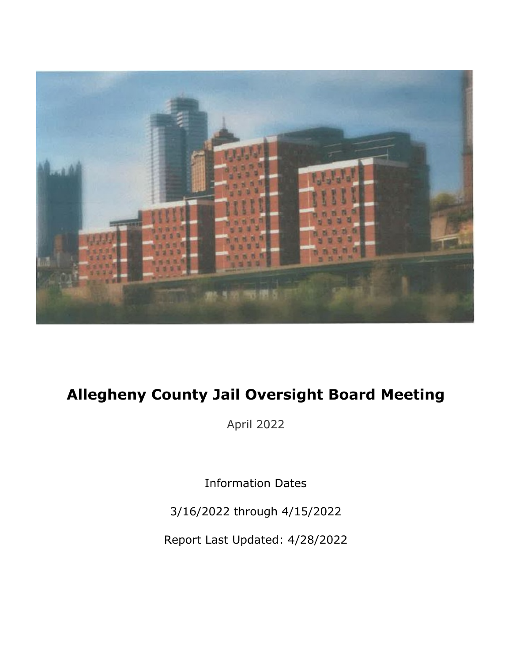

# Allegheny County Jail Oversight Board Meeting

April 2022

Information Dates

3/16/2022 through 4/15/2022

Report Last Updated: 4/28/2022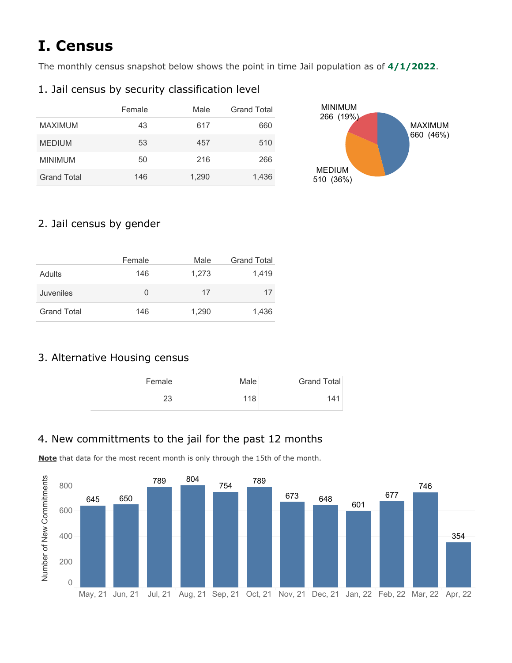# I.Census

The monthly census snapshot below shows the point in time Jail population as of  $4/1/2022$ .

## 1. Jail census by security classification level

|                    | Female | Male  | <b>Grand Total</b> | <b>MINIMUM</b><br>(19%)<br>266 |  |
|--------------------|--------|-------|--------------------|--------------------------------|--|
| <b>MAXIMUM</b>     | 43     | 617   | 660                | <b>MAXIMUM</b><br>660          |  |
| <b>MEDIUM</b>      | 53     | 457   | 510                | (46%)                          |  |
| <b>MINIMUM</b>     | 50     | 216   | 266                |                                |  |
| <b>Grand Total</b> | 146    | 1,290 | 1,436              | <b>MEDIUM</b><br>510 (36%)     |  |

### 2. Jail census by gender

|                    | Female           | Male  | <b>Grand Total</b> |
|--------------------|------------------|-------|--------------------|
| Adults             | 146              | 1,273 | 1,419              |
| Juveniles          | $\left( \right)$ | 17    | 17                 |
| <b>Grand Total</b> | 146              | 1,290 | 1,436              |

## 3. Alternative Housing census

| Grand Total | Male | Female |
|-------------|------|--------|
| 141         | 118  | 23     |

## 4. New committments to the jail for the past 12 months

Note that data for the most recent month is only through the 15th of the month.

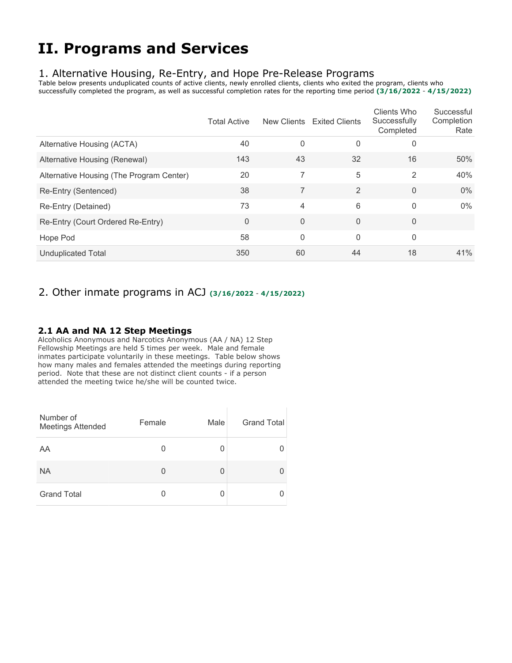## **II. Programs and Services**

### 1. Alternative Housing, Re-Entry, and Hope Pre-Release Programs

Table below presents unduplicated counts of active clients, newly enrolled clients, clients who exited the program, clients who successfully completed the program, as well as successful completion rates for the reporting time period (3/16/2022 - 4/15/2022)

|                                          | <b>Total Active</b> | New Clients | <b>Exited Clients</b> | Clients Who<br>Successfully<br>Completed | Successful<br>Completion<br>Rate |
|------------------------------------------|---------------------|-------------|-----------------------|------------------------------------------|----------------------------------|
| Alternative Housing (ACTA)               | 40                  | $\mathbf 0$ | $\mathbf{0}$          | 0                                        |                                  |
| Alternative Housing (Renewal)            | 143                 | 43          | 32                    | 16                                       | 50%                              |
| Alternative Housing (The Program Center) | 20                  | 7           | 5                     | 2                                        | 40%                              |
| Re-Entry (Sentenced)                     | 38                  | 7           | 2                     | $\Omega$                                 | 0%                               |
| Re-Entry (Detained)                      | 73                  | 4           | 6                     | $\mathbf{0}$                             | $0\%$                            |
| Re-Entry (Court Ordered Re-Entry)        | 0                   | $\mathbf 0$ | $\Omega$              | $\overline{0}$                           |                                  |
| Hope Pod                                 | 58                  | $\mathbf 0$ | $\Omega$              | $\mathbf{0}$                             |                                  |
| <b>Unduplicated Total</b>                | 350                 | 60          | 44                    | 18                                       | 41%                              |

### 2. Other inmate programs in ACJ (3/16/2022 - 4/15/2022)

### 2.1 AA and NA 12 Step Meetings

Alcoholics Anonymous and Narcotics Anonymous (AA / NA) 12 Step Fellowship Meetings are held 5 times per week. Male and female inmates participate voluntarily in these meetings. Table below shows how many males and females attended the meetings during reporting period. Note that these are not distinct client counts - if a person attended the meeting twice he/she will be counted twice.

| Number of<br><b>Meetings Attended</b> | Female | Male | <b>Grand Total</b> |  |
|---------------------------------------|--------|------|--------------------|--|
| AA                                    | 0      | 0    |                    |  |
| <b>NA</b>                             | 0      |      |                    |  |
| <b>Grand Total</b>                    |        |      |                    |  |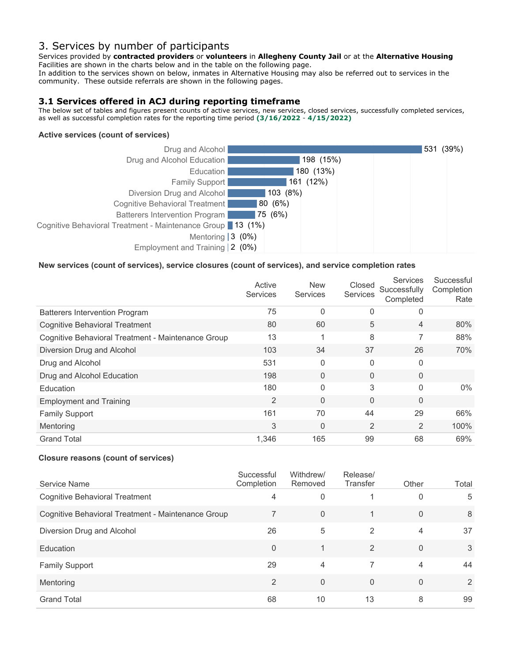### 3. Services by number of participants

Services provided by contracted providers or volunteers in Allegheny County Jail or at the Alternative Housing Facilities are shown in the charts below and in the table on the following page.

In addition to the services shown on below, inmates in Alternative Housing may also be referred out to services in the community. These outside referrals are shown in the following pages.

### 3.1 Services offered in ACJ during reporting timeframe

The below set of tables and figures present counts of active services, new services, closed services, successfully completed services, as well as successful completion rates for the reporting time period (3/16/2022 - 4/15/2022)

#### Active services (count of services)



#### New services (count of services), service closures (count of services), and service completion rates

|                                                    | Active<br><b>Services</b> | <b>New</b><br>Services | Closed<br>Services | <b>Services</b><br>Successfully<br>Completed | Successful<br>Completion<br>Rate |
|----------------------------------------------------|---------------------------|------------------------|--------------------|----------------------------------------------|----------------------------------|
| <b>Batterers Intervention Program</b>              | 75                        | $\Omega$               | 0                  | 0                                            |                                  |
| <b>Cognitive Behavioral Treatment</b>              | 80                        | 60                     | 5                  | $\overline{4}$                               | 80%                              |
| Cognitive Behavioral Treatment - Maintenance Group | 13                        |                        | 8                  | 7                                            | 88%                              |
| Diversion Drug and Alcohol                         | 103                       | 34                     | 37                 | 26                                           | 70%                              |
| Drug and Alcohol                                   | 531                       | $\Omega$               | 0                  | $\mathbf 0$                                  |                                  |
| Drug and Alcohol Education                         | 198                       | $\Omega$               | 0                  | $\overline{0}$                               |                                  |
| Education                                          | 180                       | $\Omega$               | 3                  | $\Omega$                                     | $0\%$                            |
| <b>Employment and Training</b>                     | $\overline{2}$            | $\Omega$               | 0                  | $\overline{0}$                               |                                  |
| <b>Family Support</b>                              | 161                       | 70                     | 44                 | 29                                           | 66%                              |
| Mentoring                                          | 3                         | $\Omega$               | 2                  | 2                                            | 100%                             |
| <b>Grand Total</b>                                 | 1,346                     | 165                    | 99                 | 68                                           | 69%                              |

#### Closure reasons (count of services)

| Service Name                                       | Successful<br>Completion | Withdrew/<br>Removed | Release/<br>Transfer | Other          | Total |
|----------------------------------------------------|--------------------------|----------------------|----------------------|----------------|-------|
| <b>Cognitive Behavioral Treatment</b>              | 4                        | 0                    |                      | 0              | 5     |
| Cognitive Behavioral Treatment - Maintenance Group |                          | $\Omega$             |                      | $\Omega$       | 8     |
| Diversion Drug and Alcohol                         | 26                       | 5                    | 2                    | 4              | 37    |
| Education                                          | $\Omega$                 |                      | 2                    | $\Omega$       | 3     |
| <b>Family Support</b>                              | 29                       | $\overline{4}$       |                      | 4              | 44    |
| Mentoring                                          | $\mathfrak{p}$           | $\Omega$             | $\overline{0}$       | $\overline{0}$ | 2     |
| <b>Grand Total</b>                                 | 68                       | 10                   | 13                   | 8              | 99    |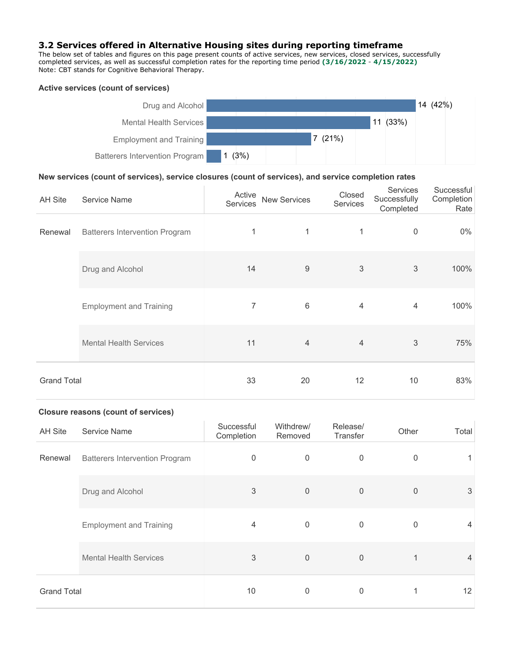#### 3.2 Services offered in Alternative Housing sites during reporting timeframe

The below set of tables and figures on this page present counts of active services, new services, closed services, successfully completed services, as well as successful completion rates for the reporting time period (3/16/2022 - 4/15/2022) Note: CBT stands for Cognitive Behavioral Therapy.

#### Active services (count of services)



#### New services (count of services), service closures (count of services), and service completion rates

| <b>AH Site</b>     | Service Name                          | Active<br><b>Services</b> | <b>New Services</b> | Closed<br>Services        | Services<br>Successfully<br>Completed | Successful<br>Completion<br>Rate |
|--------------------|---------------------------------------|---------------------------|---------------------|---------------------------|---------------------------------------|----------------------------------|
| Renewal            | <b>Batterers Intervention Program</b> | 1                         | 1                   | 1                         | $\boldsymbol{0}$                      | $0\%$                            |
|                    | Drug and Alcohol                      | 14                        | $\boldsymbol{9}$    | $\ensuremath{\mathsf{3}}$ | $\mathfrak{Z}$                        | 100%                             |
|                    | <b>Employment and Training</b>        | 7                         | $6\,$               | 4                         | 4                                     | 100%                             |
|                    | <b>Mental Health Services</b>         | 11                        | $\overline{4}$      | $\overline{4}$            | $\mathfrak{Z}$                        | 75%                              |
| <b>Grand Total</b> |                                       | 33                        | 20                  | 12                        | 10                                    | 83%                              |

#### Closure reasons (count of services)

| <b>AH Site</b>     | Service Name                          | Successful<br>Completion | Withdrew/<br>Removed | Release/<br>Transfer | Other          | Total |
|--------------------|---------------------------------------|--------------------------|----------------------|----------------------|----------------|-------|
| Renewal            | <b>Batterers Intervention Program</b> | $\boldsymbol{0}$         | $\mathbf 0$          | $\overline{0}$       | $\mathbf 0$    |       |
|                    | Drug and Alcohol                      | $\sqrt{3}$               | $\mathbf 0$          | $\mathbf 0$          | $\overline{0}$ | 3     |
|                    | <b>Employment and Training</b>        | $\overline{4}$           | 0                    | $\overline{0}$       | $\overline{0}$ | 4     |
|                    | <b>Mental Health Services</b>         | 3                        | $\mathbf 0$          | $\overline{0}$       | 1              | 4     |
| <b>Grand Total</b> |                                       | 10                       | $\mathbf 0$          | 0                    |                | 12    |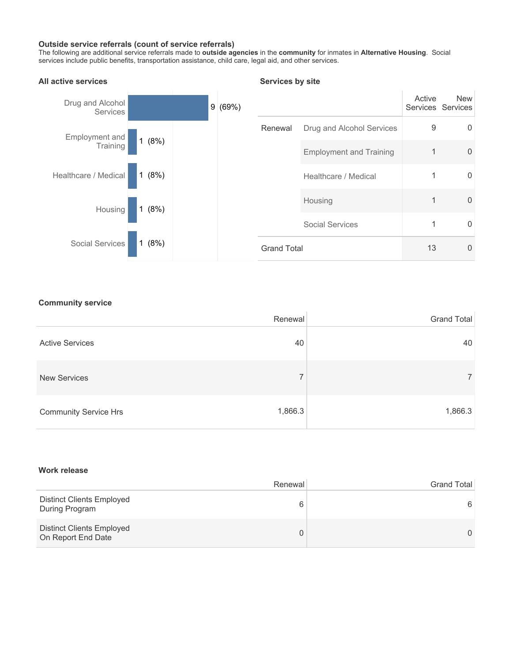#### Outside service referrals (count of service referrals)

The following are additional service referrals made to **outside agencies** in the **community** for inmates in Alternative Housing. Social services include public benefits, transportation assistance, child care, legal aid, and other services.



#### Services by site

#### **Community service**

|                              | Renewal | <b>Grand Total</b> |
|------------------------------|---------|--------------------|
| <b>Active Services</b>       | 40      | 40                 |
| <b>New Services</b>          | 7       | ⇁                  |
| <b>Community Service Hrs</b> | 1,866.3 | 1,866.3            |

#### Work release

|                                                        | Renewal | <b>Grand Total</b> |
|--------------------------------------------------------|---------|--------------------|
| <b>Distinct Clients Employed</b><br>During Program     | 6       | 6                  |
| <b>Distinct Clients Employed</b><br>On Report End Date | 0       |                    |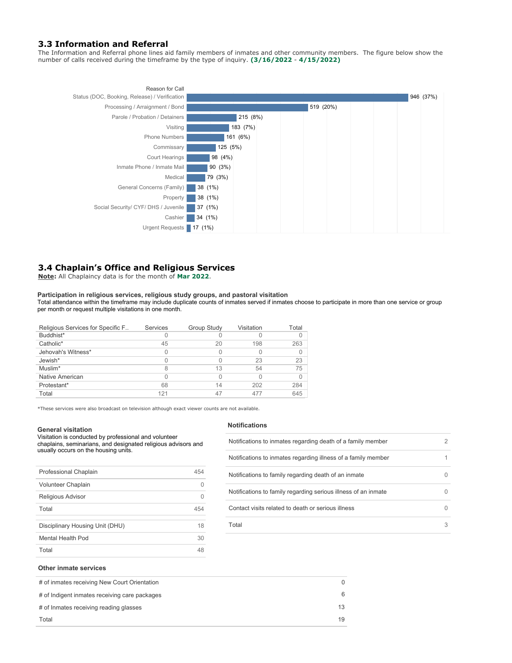#### **3.3 Information and Referral**

The Information and Referral phone lines aid family members of inmates and other community members. The figure below show the number of calls received during the timeframe by the type of inquiry. (3/16/2022 - 4/15/2022)



#### 3.4 Chaplain's Office and Religious Services

Note: All Chaplaincy data is for the month of Mar 2022.

### Participation in religious services, religious study groups, and pastoral visitation

Total attendance within the timeframe may include duplicate counts of inmates served if inmates choose to participate in more than one service or group per month or request multiple visitations in one month.

| Religious Services for Specific F | Services | <b>Group Study</b> | Visitation | Total |
|-----------------------------------|----------|--------------------|------------|-------|
| Buddhist*                         |          |                    |            | 0     |
| Catholic*                         | 45       | 20                 | 198        | 263   |
| Jehovah's Witness*                |          |                    |            | 0     |
| Jewish*                           |          |                    | 23         | 23    |
| Muslim*                           |          | 13                 | 54         | 75    |
| Native American                   |          |                    |            | 0     |
| Protestant*                       | 68       | 14                 | 202        | 284   |
| Total                             | 121      |                    | 477        | 645   |

\*These services were also broadcast on television although exact viewer counts are not available.

#### **General visitation**

Visitation is conducted by professional and volunteer chaplains, seminarians, and designated religious advisors and usually occurs on the housing units.

| Professional Chaplain           | 454 |
|---------------------------------|-----|
| Volunteer Chaplain              |     |
| <b>Religious Advisor</b>        |     |
| Total                           | 454 |
| Disciplinary Housing Unit (DHU) | 18  |
| Mental Health Pod               | 30  |
| Total                           | 48  |
|                                 |     |

#### Notifications

| Notifications to inmates regarding death of a family member    |   |
|----------------------------------------------------------------|---|
| Notifications to inmates regarding illness of a family member  |   |
| Notifications to family regarding death of an inmate           |   |
| Notifications to family regarding serious illness of an inmate |   |
| Contact visits related to death or serious illness             |   |
| Total                                                          | З |

#### Other inmate services

| # of inmates receiving New Court Orientation  |    |
|-----------------------------------------------|----|
| # of Indigent inmates receiving care packages |    |
| # of Inmates receiving reading glasses        | 13 |
| Total                                         | 19 |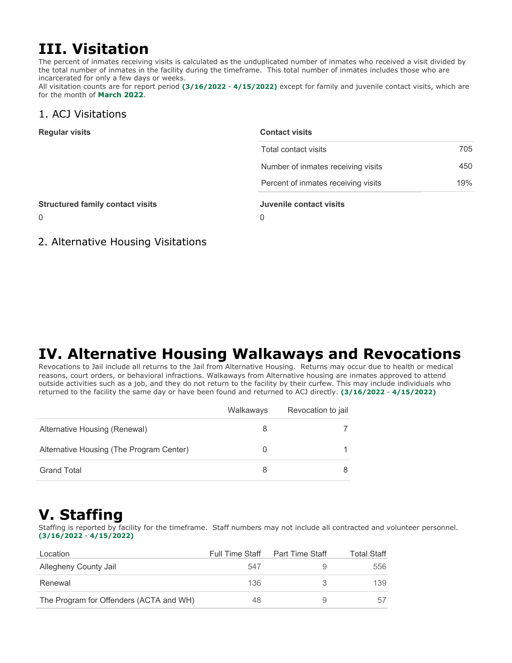## III. Visitation

The percent of inmates receiving visits is calculated as the unduplicated number of inmates who received a visit divided by the total number of inmates in the facility during the timeframe. This total number of inmates includes those who are incarcerated for only a few days or weeks.

All visitation counts are for report period (3/16/2022 - 4/15/2022) except for family and juvenile contact visits, which are for the month of March 2022.

### 1. ACJ Visitations

| <b>Regular visits</b>                   | <b>Contact visits</b>               |     |  |  |
|-----------------------------------------|-------------------------------------|-----|--|--|
|                                         | Total contact visits                | 705 |  |  |
|                                         | Number of inmates receiving visits  | 450 |  |  |
|                                         | Percent of inmates receiving visits | 19% |  |  |
| <b>Structured family contact visits</b> | Juvenile contact visits             |     |  |  |
| $\mathbf{0}$                            | 0                                   |     |  |  |
|                                         |                                     |     |  |  |

2. Alternative Housing Visitations

## IV. Alternative Housing Walkaways and Revocations

Revocations to Jail include all returns to the Jail from Alternative Housing. Returns may occur due to health or medical reasons, court orders, or behavioral infractions. Walkaways from Alternative housing are inmates approved to attend outside activities such as a job, and they do not return to the facility by their curfew. This may include individuals who returned to the facility the same day or have been found and returned to ACJ directly. (3/16/2022 - 4/15/2022)

|                                          | Walkaways | Revocation to jail |
|------------------------------------------|-----------|--------------------|
| Alternative Housing (Renewal)            |           |                    |
| Alternative Housing (The Program Center) |           |                    |
| Grand Total                              |           |                    |

## **V. Staffing**

Staffing is reported by facility for the timeframe. Staff numbers may not include all contracted and volunteer personnel. (3/16/2022-4/15/2022)

| Location                                | <b>Full Time Staff</b> | <b>Part Time Staff</b> | <b>Total Staff</b> |
|-----------------------------------------|------------------------|------------------------|--------------------|
| Allegheny County Jail                   | 547                    |                        | 556                |
| Renewal                                 | 136                    |                        | 139                |
| The Program for Offenders (ACTA and WH) | 48                     |                        | 57                 |